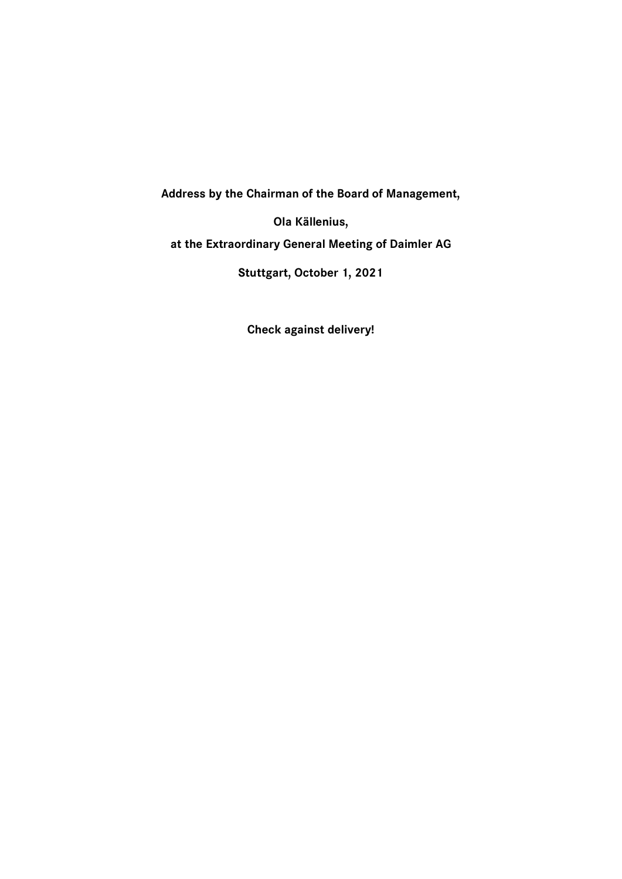**Address by the Chairman of the Board of Management,** 

**Ola Källenius,**

**at the Extraordinary General Meeting of Daimler AG**

**Stuttgart, October 1, 2021**

**Check against delivery!**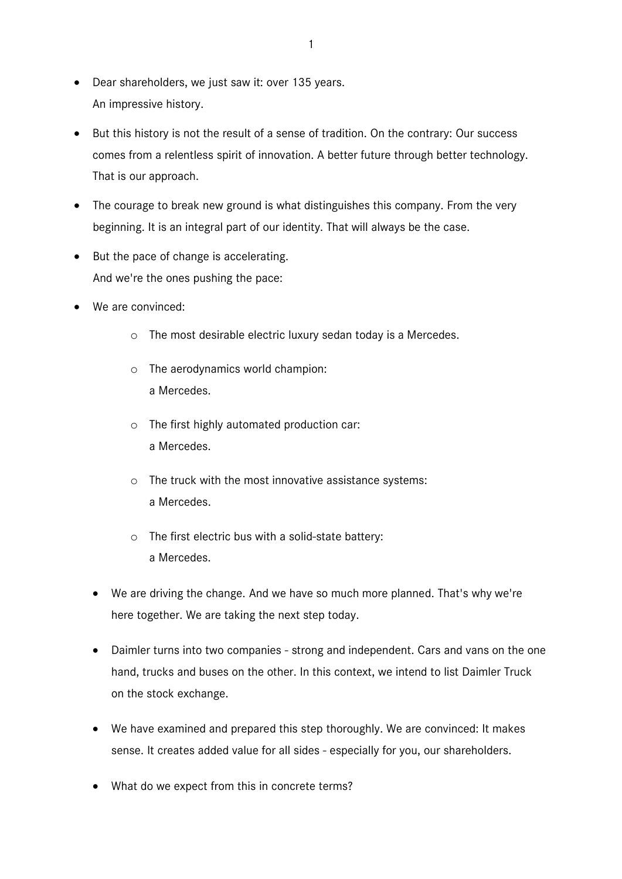- Dear shareholders, we just saw it: over 135 years. An impressive history.
- But this history is not the result of a sense of tradition. On the contrary: Our success comes from a relentless spirit of innovation. A better future through better technology. That is our approach.
- The courage to break new ground is what distinguishes this company. From the very beginning. It is an integral part of our identity. That will always be the case.
- But the pace of change is accelerating. And we're the ones pushing the pace:
- We are convinced:
	- o The most desirable electric luxury sedan today is a Mercedes.
	- o The aerodynamics world champion: a Mercedes.
	- o The first highly automated production car: a Mercedes.
	- o The truck with the most innovative assistance systems: a Mercedes.
	- o The first electric bus with a solid-state battery: a Mercedes.
	- We are driving the change. And we have so much more planned. That's why we're here together. We are taking the next step today.
	- Daimler turns into two companies strong and independent. Cars and vans on the one hand, trucks and buses on the other. In this context, we intend to list Daimler Truck on the stock exchange.
	- We have examined and prepared this step thoroughly. We are convinced: It makes sense. It creates added value for all sides - especially for you, our shareholders.
	- What do we expect from this in concrete terms?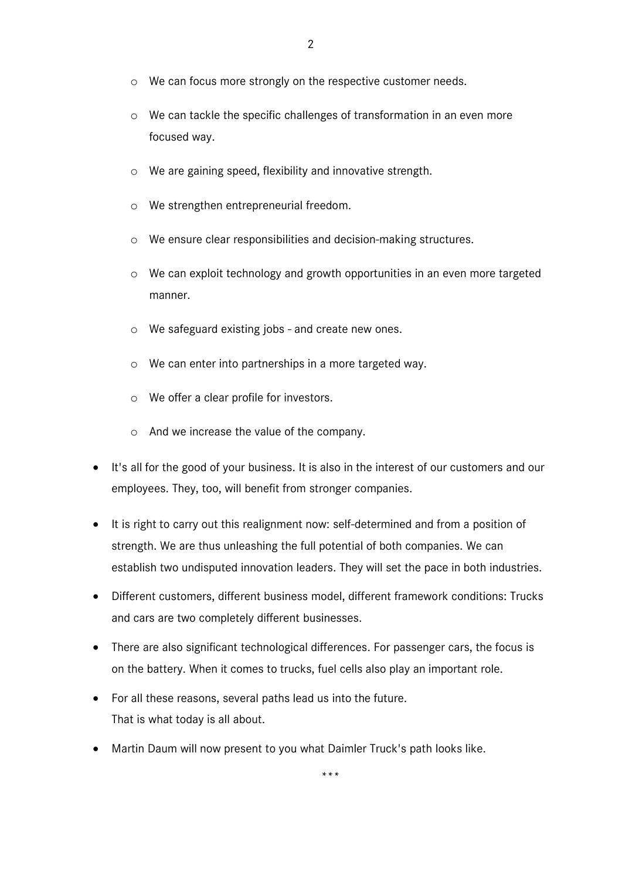- o We can focus more strongly on the respective customer needs.
- o We can tackle the specific challenges of transformation in an even more focused way.
- o We are gaining speed, flexibility and innovative strength.
- o We strengthen entrepreneurial freedom.
- o We ensure clear responsibilities and decision-making structures.
- o We can exploit technology and growth opportunities in an even more targeted manner.
- o We safeguard existing jobs and create new ones.
- o We can enter into partnerships in a more targeted way.
- o We offer a clear profile for investors.
- o And we increase the value of the company.
- It's all for the good of your business. It is also in the interest of our customers and our employees. They, too, will benefit from stronger companies.
- It is right to carry out this realignment now: self-determined and from a position of strength. We are thus unleashing the full potential of both companies. We can establish two undisputed innovation leaders. They will set the pace in both industries.
- Different customers, different business model, different framework conditions: Trucks and cars are two completely different businesses.
- There are also significant technological differences. For passenger cars, the focus is on the battery. When it comes to trucks, fuel cells also play an important role.
- For all these reasons, several paths lead us into the future. That is what today is all about.
- Martin Daum will now present to you what Daimler Truck's path looks like.

*\*\*\**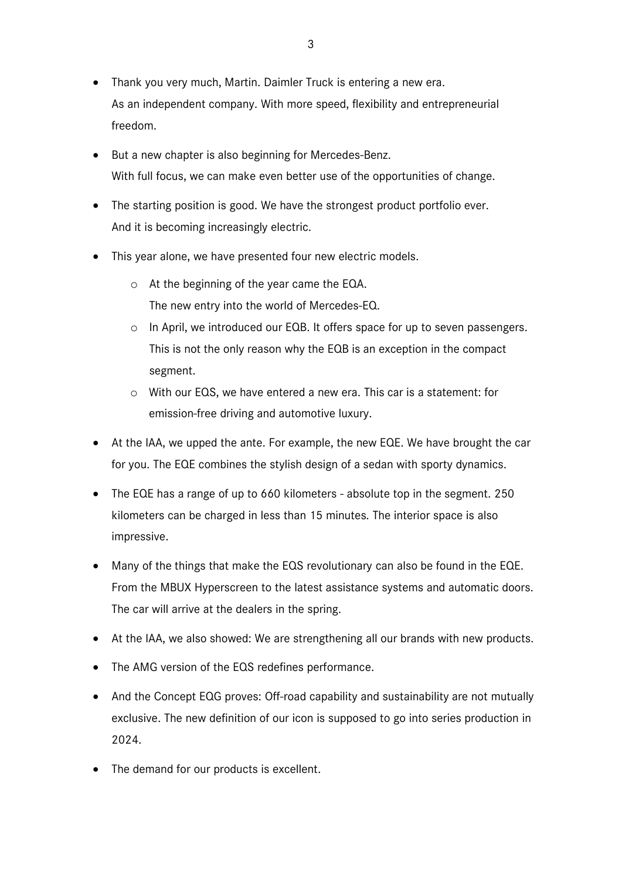- Thank you very much, Martin. Daimler Truck is entering a new era. As an independent company. With more speed, flexibility and entrepreneurial freedom.
- But a new chapter is also beginning for Mercedes-Benz. With full focus, we can make even better use of the opportunities of change.
- The starting position is good. We have the strongest product portfolio ever. And it is becoming increasingly electric.
- This year alone, we have presented four new electric models.
	- o At the beginning of the year came the EQA. The new entry into the world of Mercedes-EQ.
	- o In April, we introduced our EQB. It offers space for up to seven passengers. This is not the only reason why the EQB is an exception in the compact segment.
	- o With our EQS, we have entered a new era. This car is a statement: for emission-free driving and automotive luxury.
- At the IAA, we upped the ante. For example, the new EQE. We have brought the car for you. The EQE combines the stylish design of a sedan with sporty dynamics.
- The EQE has a range of up to 660 kilometers absolute top in the segment. 250 kilometers can be charged in less than 15 minutes. The interior space is also impressive.
- Many of the things that make the EQS revolutionary can also be found in the EQE. From the MBUX Hyperscreen to the latest assistance systems and automatic doors. The car will arrive at the dealers in the spring.
- At the IAA, we also showed: We are strengthening all our brands with new products.
- The AMG version of the EQS redefines performance.
- And the Concept EQG proves: Off-road capability and sustainability are not mutually exclusive. The new definition of our icon is supposed to go into series production in 2024.
- The demand for our products is excellent.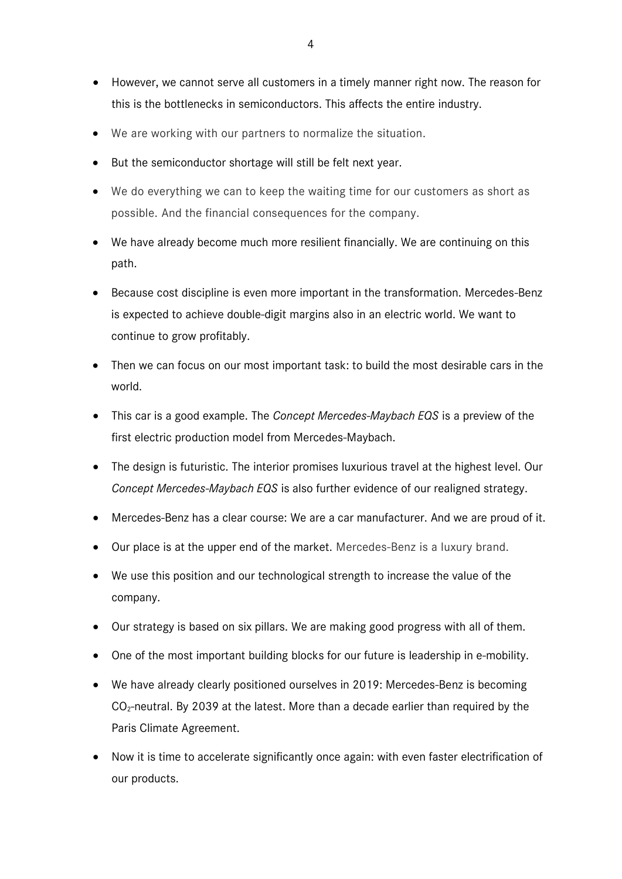- However, we cannot serve all customers in a timely manner right now. The reason for this is the bottlenecks in semiconductors. This affects the entire industry.
- We are working with our partners to normalize the situation.
- But the semiconductor shortage will still be felt next year.
- We do everything we can to keep the waiting time for our customers as short as possible. And the financial consequences for the company.
- We have already become much more resilient financially. We are continuing on this path.
- Because cost discipline is even more important in the transformation. Mercedes-Benz is expected to achieve double-digit margins also in an electric world. We want to continue to grow profitably.
- Then we can focus on our most important task: to build the most desirable cars in the world.
- This car is a good example. The *Concept Mercedes-Maybach EQS* is a preview of the first electric production model from Mercedes-Maybach.
- The design is futuristic. The interior promises luxurious travel at the highest level. Our *Concept Mercedes-Maybach EQS* is also further evidence of our realigned strategy.
- Mercedes-Benz has a clear course: We are a car manufacturer. And we are proud of it.
- Our place is at the upper end of the market. Mercedes-Benz is a luxury brand.
- We use this position and our technological strength to increase the value of the company.
- Our strategy is based on six pillars. We are making good progress with all of them.
- One of the most important building blocks for our future is leadership in e-mobility.
- We have already clearly positioned ourselves in 2019: Mercedes-Benz is becoming  $CO<sub>2</sub>$ -neutral. By 2039 at the latest. More than a decade earlier than required by the Paris Climate Agreement.
- Now it is time to accelerate significantly once again: with even faster electrification of our products.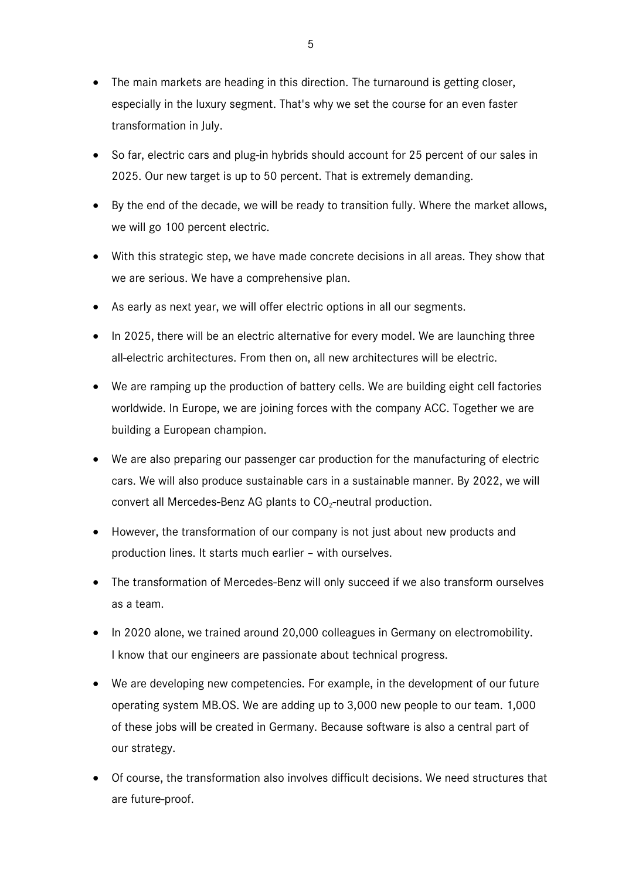- The main markets are heading in this direction. The turnaround is getting closer, especially in the luxury segment. That's why we set the course for an even faster transformation in July.
- So far, electric cars and plug-in hybrids should account for 25 percent of our sales in 2025. Our new target is up to 50 percent. That is extremely demanding.
- By the end of the decade, we will be ready to transition fully. Where the market allows, we will go 100 percent electric.
- With this strategic step, we have made concrete decisions in all areas. They show that we are serious. We have a comprehensive plan.
- As early as next year, we will offer electric options in all our segments.
- In 2025, there will be an electric alternative for every model. We are launching three all-electric architectures. From then on, all new architectures will be electric.
- We are ramping up the production of battery cells. We are building eight cell factories worldwide. In Europe, we are joining forces with the company ACC. Together we are building a European champion.
- We are also preparing our passenger car production for the manufacturing of electric cars. We will also produce sustainable cars in a sustainable manner. By 2022, we will convert all Mercedes-Benz AG plants to  $CO<sub>2</sub>$ -neutral production.
- However, the transformation of our company is not just about new products and production lines. It starts much earlier – with ourselves.
- The transformation of Mercedes-Benz will only succeed if we also transform ourselves as a team.
- In 2020 alone, we trained around 20,000 colleagues in Germany on electromobility. I know that our engineers are passionate about technical progress.
- We are developing new competencies. For example, in the development of our future operating system MB.OS. We are adding up to 3,000 new people to our team. 1,000 of these jobs will be created in Germany. Because software is also a central part of our strategy.
- Of course, the transformation also involves difficult decisions. We need structures that are future-proof.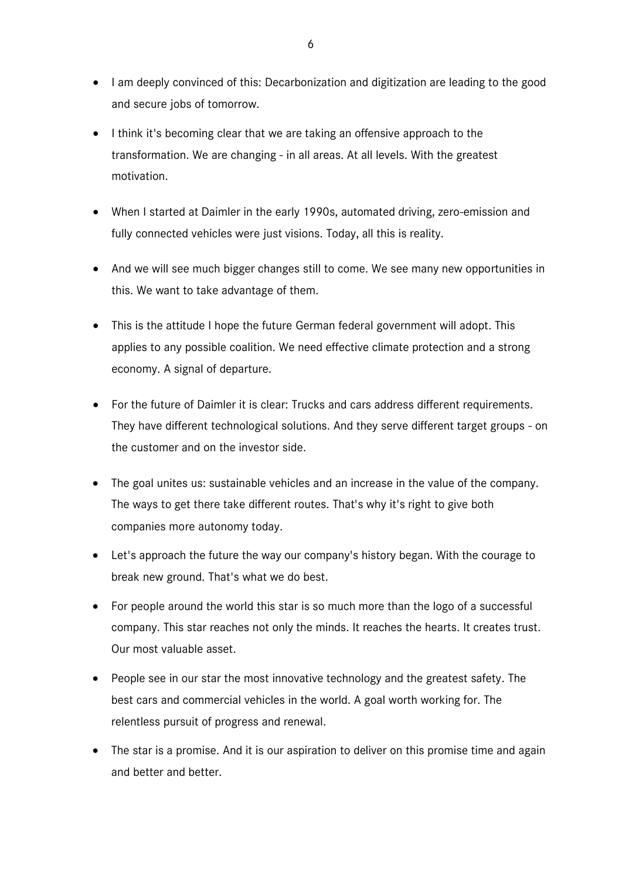- I am deeply convinced of this: Decarbonization and digitization are leading to the good and secure jobs of tomorrow.
- I think it's becoming clear that we are taking an offensive approach to the transformation. We are changing - in all areas. At all levels. With the greatest motivation.
- When I started at Daimler in the early 1990s, automated driving, zero-emission and fully connected vehicles were just visions. Today, all this is reality.
- And we will see much bigger changes still to come. We see many new opportunities in this. We want to take advantage of them.
- This is the attitude I hope the future German federal government will adopt. This applies to any possible coalition. We need effective climate protection and a strong economy. A signal of departure.
- For the future of Daimler it is clear: Trucks and cars address different requirements. They have different technological solutions. And they serve different target groups - on the customer and on the investor side.
- The goal unites us: sustainable vehicles and an increase in the value of the company. The ways to get there take different routes. That's why it's right to give both companies more autonomy today.
- Let's approach the future the way our company's history began. With the courage to break new ground. That's what we do best.
- For people around the world this star is so much more than the logo of a successful company. This star reaches not only the minds. It reaches the hearts. It creates trust. Our most valuable asset.
- People see in our star the most innovative technology and the greatest safety. The best cars and commercial vehicles in the world. A goal worth working for. The relentless pursuit of progress and renewal.
- The star is a promise. And it is our aspiration to deliver on this promise time and again and better and better.